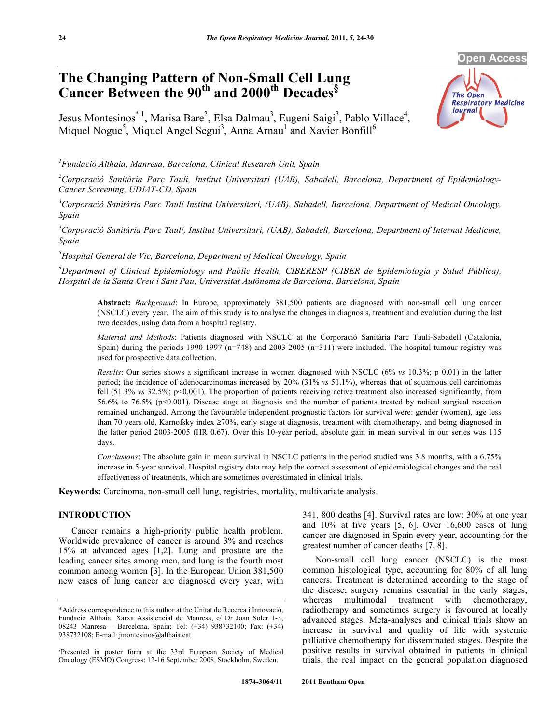#### **Open Acces**

# **The Changing Pattern of Non-Small Cell Lung Cancer Between the 90th and 2000th Decades§**



Jesus Montesinos<sup>\*, 1</sup>, Marisa Bare<sup>2</sup>, Elsa Dalmau<sup>3</sup>, Eugeni Saigi<sup>3</sup>, Pablo Villace<sup>4</sup>, Miquel Nogue<sup>5</sup>, Miquel Angel Segui<sup>3</sup>, Anna Arnau<sup>1</sup> and Xavier Bonfill<sup>6</sup>

*1 Fundació Althaia, Manresa, Barcelona, Clinical Research Unit, Spain* 

*2 Corporació Sanitària Parc Taulí, Institut Universitari (UAB), Sabadell, Barcelona, Department of Epidemiology-Cancer Screening, UDIAT-CD, Spain* 

<sup>3</sup> Corporació Sanitària Parc Taulí Institut Universitari, (UAB), Sabadell, Barcelona, Department of Medical Oncology, *Spain* 

<sup>4</sup> Corporació Sanitària Parc Taulí, Institut Universitari, (UAB), Sabadell, Barcelona, Department of Internal Medicine, *Spain* 

*5 Hospital General de Vic, Barcelona, Department of Medical Oncology, Spain* 

*6 Department of Clinical Epidemiology and Public Health, CIBERESP (CIBER de Epidemiología y Salud Pública), Hospital de la Santa Creu i Sant Pau, Universitat Autònoma de Barcelona, Barcelona, Spain* 

**Abstract:** *Background*: In Europe, approximately 381,500 patients are diagnosed with non-small cell lung cancer (NSCLC) every year. The aim of this study is to analyse the changes in diagnosis, treatment and evolution during the last two decades, using data from a hospital registry.

*Material and Methods*: Patients diagnosed with NSCLC at the Corporació Sanitària Parc Taulí-Sabadell (Catalonia, Spain) during the periods 1990-1997 (n=748) and 2003-2005 (n=311) were included. The hospital tumour registry was used for prospective data collection.

*Results*: Our series shows a significant increase in women diagnosed with NSCLC (6% *vs* 10.3%; p 0.01) in the latter period; the incidence of adenocarcinomas increased by 20% (31% *vs* 51.1%), whereas that of squamous cell carcinomas fell (51.3% *vs* 32.5%; p<0.001). The proportion of patients receiving active treatment also increased significantly, from 56.6% to 76.5% (p<0.001). Disease stage at diagnosis and the number of patients treated by radical surgical resection remained unchanged. Among the favourable independent prognostic factors for survival were: gender (women), age less than 70 years old, Karnofsky index  $\geq$  70%, early stage at diagnosis, treatment with chemotherapy, and being diagnosed in the latter period 2003-2005 (HR 0.67). Over this 10-year period, absolute gain in mean survival in our series was 115 days.

*Conclusions*: The absolute gain in mean survival in NSCLC patients in the period studied was 3.8 months, with a 6.75% increase in 5-year survival. Hospital registry data may help the correct assessment of epidemiological changes and the real effectiveness of treatments, which are sometimes overestimated in clinical trials.

**Keywords:** Carcinoma, non-small cell lung, registries, mortality, multivariate analysis.

## **INTRODUCTION**

 Cancer remains a high-priority public health problem. Worldwide prevalence of cancer is around 3% and reaches 15% at advanced ages [1,2]. Lung and prostate are the leading cancer sites among men, and lung is the fourth most common among women [3]. In the European Union 381,500 new cases of lung cancer are diagnosed every year, with

341, 800 deaths [4]. Survival rates are low: 30% at one year and 10% at five years [5, 6]. Over 16,600 cases of lung cancer are diagnosed in Spain every year, accounting for the greatest number of cancer deaths [7, 8].

 Non-small cell lung cancer (NSCLC) is the most common histological type, accounting for 80% of all lung cancers. Treatment is determined according to the stage of the disease; surgery remains essential in the early stages, whereas multimodal treatment with chemotherapy, radiotherapy and sometimes surgery is favoured at locally advanced stages. Meta-analyses and clinical trials show an increase in survival and quality of life with systemic palliative chemotherapy for disseminated stages. Despite the positive results in survival obtained in patients in clinical trials, the real impact on the general population diagnosed

<sup>\*</sup>Address correspondence to this author at the Unitat de Recerca i Innovació, Fundacio Althaia. Xarxa Assistencial de Manresa, c/ Dr Joan Soler 1-3, 08243 Manresa – Barcelona, Spain; Tel: (+34) 938732100; Fax: (+34) 938732108; E-mail: jmontesinos@althaia.cat

<sup>§</sup> Presented in poster form at the 33rd European Society of Medical Oncology (ESMO) Congress: 12-16 September 2008, Stockholm, Sweden.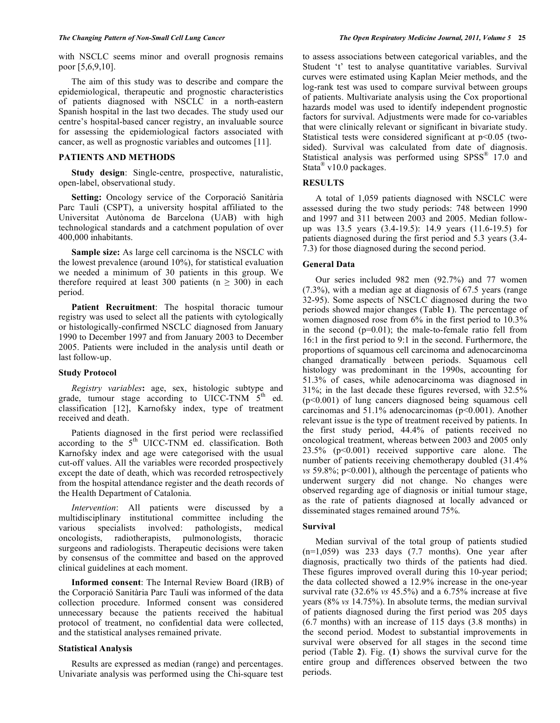with NSCLC seems minor and overall prognosis remains poor [5,6,9,10].

 The aim of this study was to describe and compare the epidemiological, therapeutic and prognostic characteristics of patients diagnosed with NSCLC in a north-eastern Spanish hospital in the last two decades. The study used our centre's hospital-based cancer registry, an invaluable source for assessing the epidemiological factors associated with cancer, as well as prognostic variables and outcomes [11].

## **PATIENTS AND METHODS**

 **Study design**: Single-centre, prospective, naturalistic, open-label, observational study.

 **Setting:** Oncology service of the Corporació Sanitària Parc Taulí (CSPT), a university hospital affiliated to the Universitat Autònoma de Barcelona (UAB) with high technological standards and a catchment population of over 400,000 inhabitants.

 **Sample size:** As large cell carcinoma is the NSCLC with the lowest prevalence (around 10%), for statistical evaluation we needed a minimum of 30 patients in this group. We therefore required at least 300 patients ( $n \ge 300$ ) in each period.

 **Patient Recruitment**: The hospital thoracic tumour registry was used to select all the patients with cytologically or histologically-confirmed NSCLC diagnosed from January 1990 to December 1997 and from January 2003 to December 2005. Patients were included in the analysis until death or last follow-up.

## **Study Protocol**

 *Registry variables***:** age, sex, histologic subtype and grade, tumour stage according to UICC-TNM  $5<sup>th</sup>$  ed. classification [12], Karnofsky index, type of treatment received and death.

 Patients diagnosed in the first period were reclassified according to the  $5<sup>th</sup>$  UICC-TNM ed. classification. Both Karnofsky index and age were categorised with the usual cut-off values. All the variables were recorded prospectively except the date of death, which was recorded retrospectively from the hospital attendance register and the death records of the Health Department of Catalonia.

 *Intervention*: All patients were discussed by a multidisciplinary institutional committee including the various specialists involved: pathologists, medical oncologists, radiotherapists, pulmonologists, thoracic surgeons and radiologists. Therapeutic decisions were taken by consensus of the committee and based on the approved clinical guidelines at each moment.

 **Informed consent**: The Internal Review Board (IRB) of the Corporació Sanitària Parc Taulí was informed of the data collection procedure. Informed consent was considered unnecessary because the patients received the habitual protocol of treatment, no confidential data were collected, and the statistical analyses remained private.

# **Statistical Analysis**

 Results are expressed as median (range) and percentages. Univariate analysis was performed using the Chi-square test to assess associations between categorical variables, and the Student 't' test to analyse quantitative variables. Survival curves were estimated using Kaplan Meier methods, and the log-rank test was used to compare survival between groups of patients. Multivariate analysis using the Cox proportional hazards model was used to identify independent prognostic factors for survival. Adjustments were made for co-variables that were clinically relevant or significant in bivariate study. Statistical tests were considered significant at  $p<0.05$  (twosided). Survival was calculated from date of diagnosis. Statistical analysis was performed using SPSS<sup>®</sup> 17.0 and Stata<sup>®</sup> v10.0 packages.

# **RESULTS**

 A total of 1,059 patients diagnosed with NSCLC were assessed during the two study periods: 748 between 1990 and 1997 and 311 between 2003 and 2005. Median followup was 13.5 years (3.4-19.5): 14.9 years (11.6-19.5) for patients diagnosed during the first period and 5.3 years (3.4- 7.3) for those diagnosed during the second period.

## **General Data**

 Our series included 982 men (92.7%) and 77 women (7.3%), with a median age at diagnosis of 67.5 years (range 32-95). Some aspects of NSCLC diagnosed during the two periods showed major changes (Table **1**). The percentage of women diagnosed rose from 6% in the first period to 10.3% in the second  $(p=0.01)$ ; the male-to-female ratio fell from 16:1 in the first period to 9:1 in the second. Furthermore, the proportions of squamous cell carcinoma and adenocarcinoma changed dramatically between periods. Squamous cell histology was predominant in the 1990s, accounting for 51.3% of cases, while adenocarcinoma was diagnosed in 31%; in the last decade these figures reversed, with 32.5% (p<0.001) of lung cancers diagnosed being squamous cell carcinomas and 51.1% adenocarcinomas (p<0.001). Another relevant issue is the type of treatment received by patients. In the first study period, 44.4% of patients received no oncological treatment, whereas between 2003 and 2005 only 23.5% (p<0.001) received supportive care alone. The number of patients receiving chemotherapy doubled (31.4% *vs* 59.8%; p<0.001), although the percentage of patients who underwent surgery did not change. No changes were observed regarding age of diagnosis or initial tumour stage, as the rate of patients diagnosed at locally advanced or disseminated stages remained around 75%.

# **Survival**

 Median survival of the total group of patients studied  $(n=1,059)$  was 233 days  $(7.7 \text{ months})$ . One year after diagnosis, practically two thirds of the patients had died. These figures improved overall during this 10-year period; the data collected showed a 12.9% increase in the one-year survival rate (32.6% *vs* 45.5%) and a 6.75% increase at five years (8% *vs* 14.75%). In absolute terms, the median survival of patients diagnosed during the first period was 205 days (6.7 months) with an increase of 115 days (3.8 months) in the second period. Modest to substantial improvements in survival were observed for all stages in the second time period (Table **2**). Fig. (**1**) shows the survival curve for the entire group and differences observed between the two periods.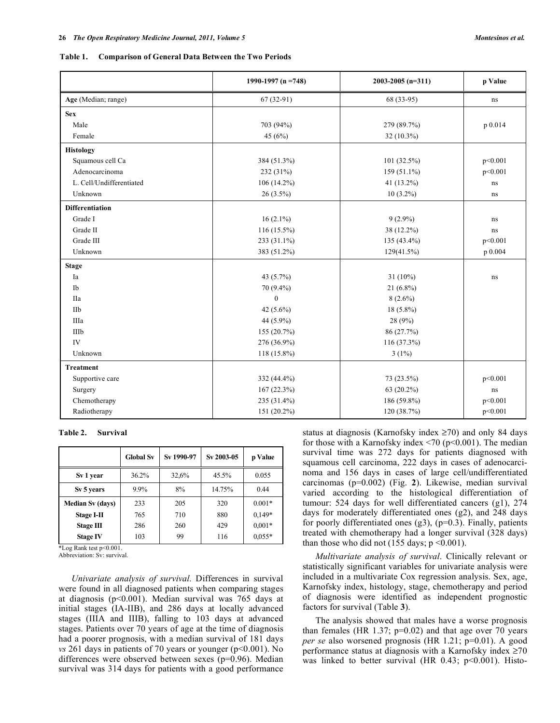|  |  | Table 1. Comparison of General Data Between the Two Periods |
|--|--|-------------------------------------------------------------|
|--|--|-------------------------------------------------------------|

|                               | 1990-1997 (n = 748) | $2003 - 2005$ (n=311) | p Value |  |
|-------------------------------|---------------------|-----------------------|---------|--|
| Age (Median; range)           | $67(32-91)$         |                       | ns      |  |
| <b>Sex</b>                    |                     |                       |         |  |
| Male                          | 703 (94%)           | 279 (89.7%)           | p 0.014 |  |
| Female                        | 45 $(6%)$           | $32(10.3\%)$          |         |  |
| <b>Histology</b>              |                     |                       |         |  |
| Squamous cell Ca              | 384 (51.3%)         | $101(32.5\%)$         | p<0.001 |  |
| Adenocarcinoma                | 232 (31%)           | $159(51.1\%)$         | p<0.001 |  |
| L. Cell/Undifferentiated      | 106 (14.2%)         | 41 (13.2%)            | ns      |  |
| Unknown                       | $26(3.5\%)$         | $10(3.2\%)$           | ns      |  |
| <b>Differentiation</b>        |                     |                       |         |  |
| Grade I                       | $16(2.1\%)$         | $9(2.9\%)$            | ns      |  |
| Grade II                      | $116(15.5\%)$       | 38 (12.2%)            | ns      |  |
| Grade III                     | 233 (31.1%)         | 135 (43.4%)           | p<0.001 |  |
| Unknown                       | 383 (51.2%)         | 129(41.5%)            | p 0.004 |  |
| <b>Stage</b>                  |                     |                       |         |  |
| Ia                            | 43 (5.7%)           | 31 $(10\%)$           | ns      |  |
| Ib                            | 70 (9.4%)           | $21(6.8\%)$           |         |  |
| <b>IIa</b>                    | $\theta$            | $8(2.6\%)$            |         |  |
| IIb                           | 42 $(5.6\%)$        | 18 (5.8%)             |         |  |
| IIIa                          | 44 (5.9%)           | 28 (9%)               |         |  |
| IIIb                          | 155 (20.7%)         | 86 (27.7%)            |         |  |
| IV                            | 276 (36.9%)         | 116 (37.3%)           |         |  |
| Unknown                       | 118 (15.8%)         | $3(1\%)$              |         |  |
| <b>Treatment</b>              |                     |                       |         |  |
| Supportive care               | 332 (44.4%)         | 73 (23.5%)            | p<0.001 |  |
| Surgery                       | 167(22.3%)          | $63(20.2\%)$          | ns      |  |
| Chemotherapy                  | 235 (31.4%)         | 186 (59.8%)           | p<0.001 |  |
| Radiotherapy<br>$151(20.2\%)$ |                     | 120 (38.7%)           | p<0.001 |  |

**Table 2. Survival** 

|                         | <b>Global Sv</b> | Sv 1990-97 | Sv 2003-05 | p Value  |
|-------------------------|------------------|------------|------------|----------|
| Sv 1 year               | 36.2%            | 32,6%      | $45.5\%$   | 0.055    |
| Sv 5 years              | $9.9\%$          | 8%         | 14.75%     | 0.44     |
| <b>Median Sv (days)</b> | 233              | 205        | 320        | $0.001*$ |
| <b>Stage I-II</b>       | 765              | 710        | 880        | $0.149*$ |
| Stage III               | 286              | 260        | 429        | $0.001*$ |
| <b>Stage IV</b>         | 103              | 99         | 116        | $0.055*$ |

\*Log Rank test p<0.001.

Abbreviation: Sv: survival.

 *Univariate analysis of survival.* Differences in survival were found in all diagnosed patients when comparing stages at diagnosis (p<0.001). Median survival was 765 days at initial stages (IA-IIB), and 286 days at locally advanced stages (IIIA and IIIB), falling to 103 days at advanced stages. Patients over 70 years of age at the time of diagnosis had a poorer prognosis, with a median survival of 181 days *vs* 261 days in patients of 70 years or younger (p<0.001). No differences were observed between sexes (p=0.96). Median survival was 314 days for patients with a good performance

status at diagnosis (Karnofsky index  $\geq$ 70) and only 84 days for those with a Karnofsky index  $\leq$ 70 (p $\leq$ 0.001). The median survival time was 272 days for patients diagnosed with squamous cell carcinoma, 222 days in cases of adenocarcinoma and 156 days in cases of large cell/undifferentiated carcinomas (p=0.002) (Fig. **2**). Likewise, median survival varied according to the histological differentiation of tumour: 524 days for well differentiated cancers (g1), 274 days for moderately differentiated ones (g2), and 248 days for poorly differentiated ones  $(g3)$ ,  $(p=0.3)$ . Finally, patients treated with chemotherapy had a longer survival (328 days) than those who did not (155 days;  $p \le 0.001$ ).

 *Multivariate analysis of survival*. Clinically relevant or statistically significant variables for univariate analysis were included in a multivariate Cox regression analysis. Sex, age, Karnofsky index, histology, stage, chemotherapy and period of diagnosis were identified as independent prognostic factors for survival (Table **3**).

 The analysis showed that males have a worse prognosis than females (HR 1.37;  $p=0.02$ ) and that age over 70 years *per se* also worsened prognosis (HR 1.21; p=0.01). A good performance status at diagnosis with a Karnofsky index  $\geq 70$ was linked to better survival (HR  $0.43$ ; p<0.001). Histo-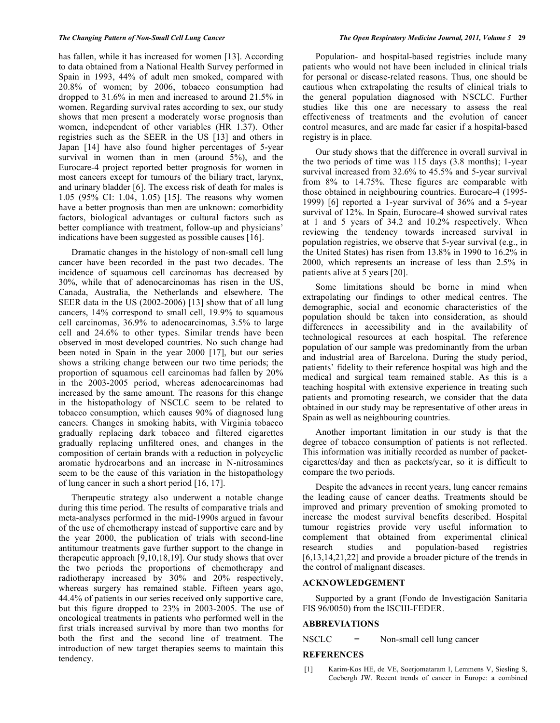has fallen, while it has increased for women [13]. According to data obtained from a National Health Survey performed in Spain in 1993, 44% of adult men smoked, compared with 20.8% of women; by 2006, tobacco consumption had dropped to 31.6% in men and increased to around 21.5% in women. Regarding survival rates according to sex, our study shows that men present a moderately worse prognosis than women, independent of other variables (HR 1.37). Other registries such as the SEER in the US [13] and others in Japan [14] have also found higher percentages of 5-year survival in women than in men (around 5%), and the Eurocare-4 project reported better prognosis for women in most cancers except for tumours of the biliary tract, larynx, and urinary bladder [6]. The excess risk of death for males is 1.05 (95% CI: 1.04, 1.05) [15]. The reasons why women have a better prognosis than men are unknown: comorbidity factors, biological advantages or cultural factors such as better compliance with treatment, follow-up and physicians' indications have been suggested as possible causes [16].

 Dramatic changes in the histology of non-small cell lung cancer have been recorded in the past two decades. The incidence of squamous cell carcinomas has decreased by 30%, while that of adenocarcinomas has risen in the US, Canada, Australia, the Netherlands and elsewhere. The SEER data in the US (2002-2006) [13] show that of all lung cancers, 14% correspond to small cell, 19.9% to squamous cell carcinomas, 36.9% to adenocarcinomas, 3.5% to large cell and 24.6% to other types. Similar trends have been observed in most developed countries. No such change had been noted in Spain in the year 2000 [17], but our series shows a striking change between our two time periods; the proportion of squamous cell carcinomas had fallen by 20% in the 2003-2005 period, whereas adenocarcinomas had increased by the same amount. The reasons for this change in the histopathology of NSCLC seem to be related to tobacco consumption, which causes 90% of diagnosed lung cancers. Changes in smoking habits, with Virginia tobacco gradually replacing dark tobacco and filtered cigarettes gradually replacing unfiltered ones, and changes in the composition of certain brands with a reduction in polycyclic aromatic hydrocarbons and an increase in N-nitrosamines seem to be the cause of this variation in the histopathology of lung cancer in such a short period [16, 17].

 Therapeutic strategy also underwent a notable change during this time period. The results of comparative trials and meta-analyses performed in the mid-1990s argued in favour of the use of chemotherapy instead of supportive care and by the year 2000, the publication of trials with second-line antitumour treatments gave further support to the change in therapeutic approach [9,10,18,19]. Our study shows that over the two periods the proportions of chemotherapy and radiotherapy increased by 30% and 20% respectively, whereas surgery has remained stable. Fifteen years ago, 44.4% of patients in our series received only supportive care, but this figure dropped to 23% in 2003-2005. The use of oncological treatments in patients who performed well in the first trials increased survival by more than two months for both the first and the second line of treatment. The introduction of new target therapies seems to maintain this tendency.

 Population- and hospital-based registries include many patients who would not have been included in clinical trials for personal or disease-related reasons. Thus, one should be cautious when extrapolating the results of clinical trials to the general population diagnosed with NSCLC. Further studies like this one are necessary to assess the real effectiveness of treatments and the evolution of cancer control measures, and are made far easier if a hospital-based registry is in place.

 Our study shows that the difference in overall survival in the two periods of time was 115 days (3.8 months); 1-year survival increased from 32.6% to 45.5% and 5-year survival from 8% to 14.75%. These figures are comparable with those obtained in neighbouring countries. Eurocare-4 (1995- 1999) [6] reported a 1-year survival of 36% and a 5-year survival of 12%. In Spain, Eurocare-4 showed survival rates at 1 and 5 years of 34.2 and 10.2% respectively. When reviewing the tendency towards increased survival in population registries, we observe that 5-year survival (e.g., in the United States) has risen from 13.8% in 1990 to 16.2% in 2000, which represents an increase of less than 2.5% in patients alive at 5 years [20].

 Some limitations should be borne in mind when extrapolating our findings to other medical centres. The demographic, social and economic characteristics of the population should be taken into consideration, as should differences in accessibility and in the availability of technological resources at each hospital. The reference population of our sample was predominantly from the urban and industrial area of Barcelona. During the study period, patients' fidelity to their reference hospital was high and the medical and surgical team remained stable. As this is a teaching hospital with extensive experience in treating such patients and promoting research, we consider that the data obtained in our study may be representative of other areas in Spain as well as neighbouring countries.

 Another important limitation in our study is that the degree of tobacco consumption of patients is not reflected. This information was initially recorded as number of packetcigarettes/day and then as packets/year, so it is difficult to compare the two periods.

 Despite the advances in recent years, lung cancer remains the leading cause of cancer deaths. Treatments should be improved and primary prevention of smoking promoted to increase the modest survival benefits described. Hospital tumour registries provide very useful information to complement that obtained from experimental clinical research studies and population-based registries [6,13,14,21,22] and provide a broader picture of the trends in the control of malignant diseases.

## **ACKNOWLEDGEMENT**

 Supported by a grant (Fondo de Investigación Sanitaria FIS 96/0050) from the ISCIII-FEDER.

## **ABBREVIATIONS**

 $NSCLC$  = Non-small cell lung cancer

## **REFERENCES**

 [1] Karim-Kos HE, de VE, Soerjomataram I, Lemmens V, Siesling S, Coebergh JW. Recent trends of cancer in Europe: a combined